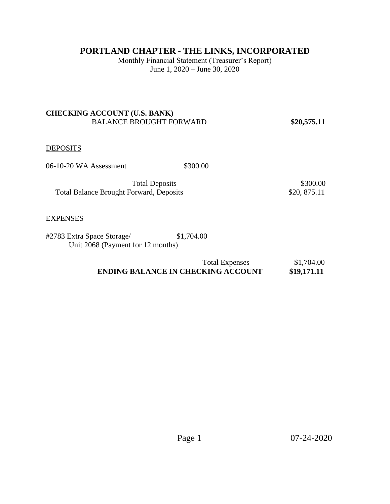# **PORTLAND CHAPTER - THE LINKS, INCORPORATED**

Monthly Financial Statement (Treasurer's Report) June 1, 2020 – June 30, 2020

# **CHECKING ACCOUNT (U.S. BANK)**  BALANCE BROUGHT FORWARD **\$20,575.11**

# **DEPOSITS**

06-10-20 WA Assessment \$300.00

Total Deposits \$300.00 Total Balance Brought Forward, Deposits \$20, 875.11

#### **EXPENSES**

#2783 Extra Space Storage/ \$1,704.00 Unit 2068 (Payment for 12 months)

| <b>Total Expenses</b>                     | \$1,704.00  |
|-------------------------------------------|-------------|
| <b>ENDING BALANCE IN CHECKING ACCOUNT</b> | \$19,171.11 |